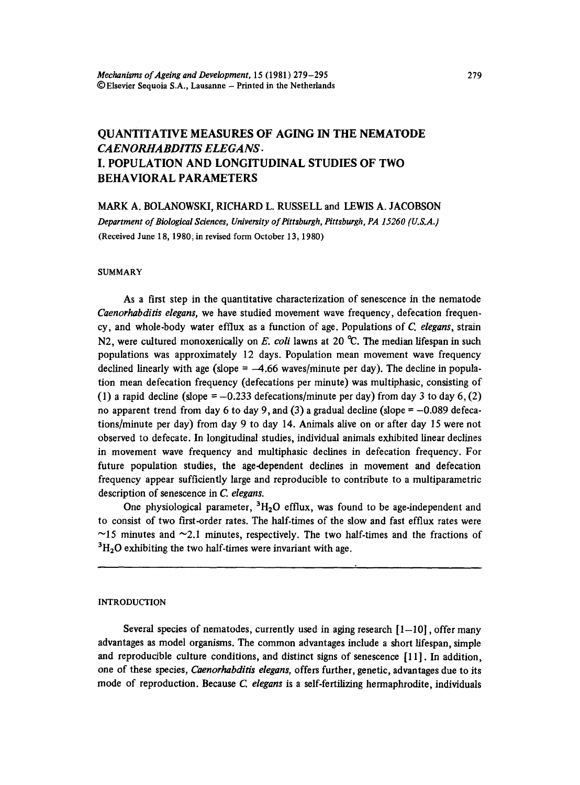# QUANTITATIVE MEASURES OF AGING IN THE NEMATODE *CAENORHABDITIS ELEGANS.*  I. POPULATION AND LONGITUDINAL STUDIES OF TWO BEHAVIORAL PARAMETERS

MARK A. BOLANOWSKI, RICHARD L. RUSSELL and LEWIS A. JACOBSON

*Department of Biological Sciences, University of Pittsburgh, Pittsburgh, PA 15260 (U.S.A.)*  (Received June 18, 1980; in revised form October 13, 1980)

#### SUMMARY

As a first step in the quantitative characterization of senescence in the nematode *Caenorhabditis elegans,* we have studied movement wave frequency, defecation frequen. cy, and whole-body water efflux as a function of age. Populations of *C. elegans,* strain N2, were cultured monoxenically on *E. coli* lawns at 20 °C. The median lifespan in such populations was approximately 12 days. Population mean movement wave frequency declined linearly with age (slope  $=$   $-4.66$  waves/minute per day). The decline in population mean defecation frequency (defecations per minute) was multiphasic, consisting of (1) a rapid decline (slope =  $-0.233$  defecations/minute per day) from day 3 to day 6, (2) no apparent trend from day 6 to day 9, and (3) a gradual decline (slope  $= -0.089$  defecations/minute per day) from day 9 to day 14. Animals alive on or after day 15 were not observed to defecate. In longitudinal studies, individual animals exhibited linear declines in movement wave frequency and multiphasic declines in defecation frequency. For future population studies, the age-dependent declines in movement and defecation frequency appear sufficiently large and reproducible to contribute to a multiparametric description of senescence in *C. elegans.* 

One physiological parameter,  ${}^{3}H_{2}O$  efflux, was found to be age-independent and to consist of two first-order rates. The half-times of the slow and fast efflux rates were  $\sim$ 15 minutes and  $\sim$ 2.1 minutes, respectively. The two half-times and the fractions of  ${}^{3}H_{2}O$  exhibiting the two half-times were invariant with age.

#### INTRODUCTION

Several species of nematodes, currently used in aging research  $[1-10]$ , offer many advantages as model organisms. The common advantages include a short lifespan, simple and reproducible culture conditions, and distinct signs of senescence [11]. In addition, one of these species, *Caenorhabditis elegans,* offers further, genetic, advantages due to its mode of reproduction. Because *C elegans* is a self-fertilizing hermaphrodite, individuals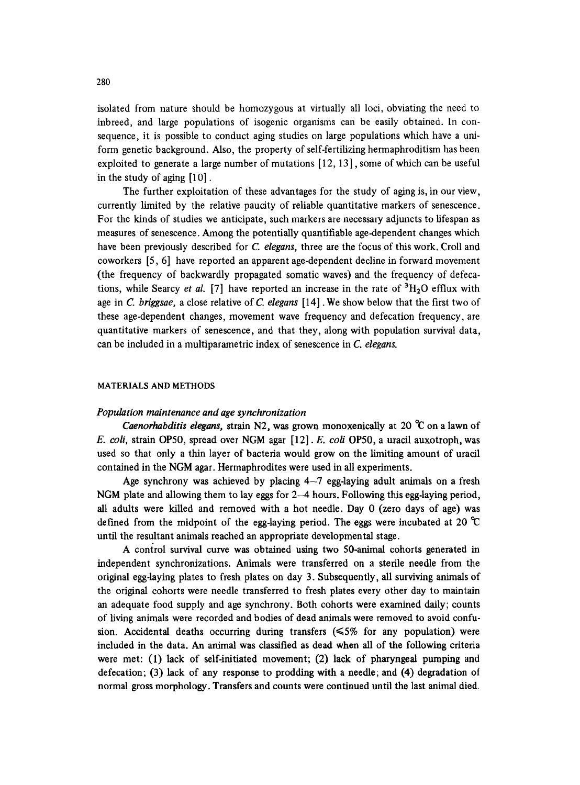isolated from nature should be homozygous at virtually all loci, obviating the need to inbreed, and large populations of isogenic organisms can be easily obtained. In consequence, it is possible to conduct aging studies on large populations which have a uniform genetic background. Also, the property of self-fertilizing hermaphroditism has been exploited to generate a large number of mutations [12, 13], some of which can be useful in the study of aging [10].

The further exploitation of these advantages for the study of aging is, in our view, currently limited by the relative paucity of reliable quantitative markers of senescence. For the kinds of studies we anticipate, such markers are necessary adjuncts to lifespan as measures of senescence. Among the potentially quantifiable age-dependent changes which have been previously described for *C. elegans,* three are the focus of this work. Croll and coworkers [5, 6] have reported an apparent age-dependent decline in forward movement (the frequency of backwardly propagated somatic waves) and the frequency of defecations, while Searcy *et al.* [7] have reported an increase in the rate of  ${}^{3}H_{2}O$  efflux with age in *C. briggsae,* a close relative ofC. *elegans* [14]. We show below that the first two of these age-dependent changes, movement wave frequency and defecation frequency, are quantitative markers of senescence, and that they, along with population survival data, can be included in a multiparametric index of senescence in *C. elegans.* 

# MATERIALS AND METHODS

### *Population maintenance and age synchronization*

*Caenorhabditis elegans, strain N2, was grown monoxenically at 20 °C on a lawn of E. coli,* strain OP50, spread over NGM agar [12]. *E. coli* OP50, a uracil auxotroph, was used so that only a thin layer of bacteria would grow on the limiting amount of uracil contained in the NGM agar. Hermaphrodites were used in all experiments.

Age synchrony was achieved by placing  $4-7$  egg-laying adult animals on a fresh NGM plate and allowing them to lay eggs for 2-4 hours. Following this egg-laying period, all adults were killed and removed with a hot needle. Day 0 (zero days of age) was defined from the midpoint of the egg-laying period. The eggs were incubated at 20  $\mathcal{C}$ until the resultant animals reached an appropriate developmental stage.

A control survival curve was obtained using two 50-animal cohorts generated in independent synchronizations. Animals were transferred on a sterile needle from the original egg-laying plates to fresh plates on day 3. Subsequently, all surviving animals of the original cohorts were needle transferred to fresh plates every other day to maintain an adequate food supply and age synchrony. Both cohorts were examined daily; counts of living animals were recorded and bodies of dead animals were removed to avoid confusion. Accidental deaths occurring during transfers  $(\leq 5\%$  for any population) were included in the data. An animal was classified as dead when all of the following criteria were met: (1) lack of self-initiated movement; (2) lack of pharyngeal pumping and defecation; (3) lack of any response to prodding with a needle; and (4) degradation oi normal gross morphology. Transfers and counts were continued until the last animal died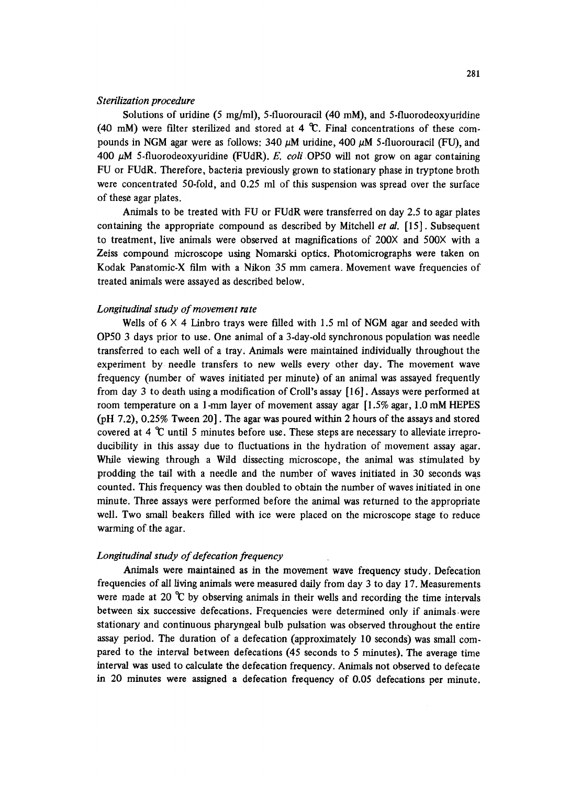### *Sterilization procedure*

Solutions of uridine (5 mg/ml), 5-fluorouracil (40 mM), and 5-fluorodeoxyuridine (40 mM) were filter sterilized and stored at 4  $\mathcal{C}$ . Final concentrations of these compounds in NGM agar were as follows:  $340 \mu$ M uridine,  $400 \mu$ M 5-fluorouracil (FU), and 400 #M 5-fluorodeoxyuridine (FUdR). *E. coli* OP50 will not grow on agar containing FU or FUdR. Therefore, bacteria previously grown to stationary phase in tryptone broth were concentrated 50-fold, and 0.25 ml of this suspension was spread over the surface of these agar plates.

Animals to be treated with FU or FUdR were transferred on day 2.5 to agar plates containing the appropriate compound as described by Mitchell *et al.* [15]. Subsequent to treatment, live animals were observed at magnifications of  $200X$  and  $500X$  with a Zeiss compound microscope using Nomarski optics. Photomicrographs were taken on Kodak Panatomic-X film with a Nikon 35 mm camera. Movement wave frequencies of treated animals were assayed as described below.

### *Longitudinal study of movement rate*

Wells of  $6 \times 4$  Linbro trays were filled with 1.5 ml of NGM agar and seeded with OP50 3 days prior to use. One animal of a 3-day.old synchronous population was needle transferred to each well of a tray. Animals were maintained individually throughout the experiment by needle transfers to new wells every other day. The movement wave frequency (number of waves initiated per minute) of an animal was assayed frequently from day 3 to death using a modification of Croll's assay [16]. Assays were performed at room temperature on a 1-mm layer of movement assay agar [1.5% agar, 1.0 mM HEPES (pH 7.2), 0.25% Tween 20]. The agar was poured within 2 hours of the assays and stored covered at 4  $\mathcal C$  until 5 minutes before use. These steps are necessary to alleviate irreproducibility in this assay due to fluctuations in the hydration of movement assay agar. While viewing through a Wild dissecting microscope, the animal was stimulated by prodding the tail with a needle and the number of waves initiated in 30 seconds was counted. This frequency was then doubled to obtain the number of waves initiated in one minute. Three assays were performed before the animal was returned to the appropriate well. Two small beakers filled with ice were placed on the microscope stage to reduce warming of the agar.

# *Longitudinal study of defecation frequency*

Animals were maintained as in the movement wave frequency study. Defecation frequencies of all living animals were measured daily from day 3 to day 17. Measurements were made at 20  $\degree$ C by observing animals in their wells and recording the time intervals between six successive defecations. Frequencies were determined only if animals were stationary and continuous pharyngeal bulb pulsation was observed throughout the entire assay period. The duration of a defecation (approximately 10 seconds) was small compared to the interval between defecations (45 seconds to 5 minutes). The average time interval was used to calculate the defecation frequency. Animals not observed to defecate in 20 minutes were assigned a defecation frequency of 0.05 defecations per minute.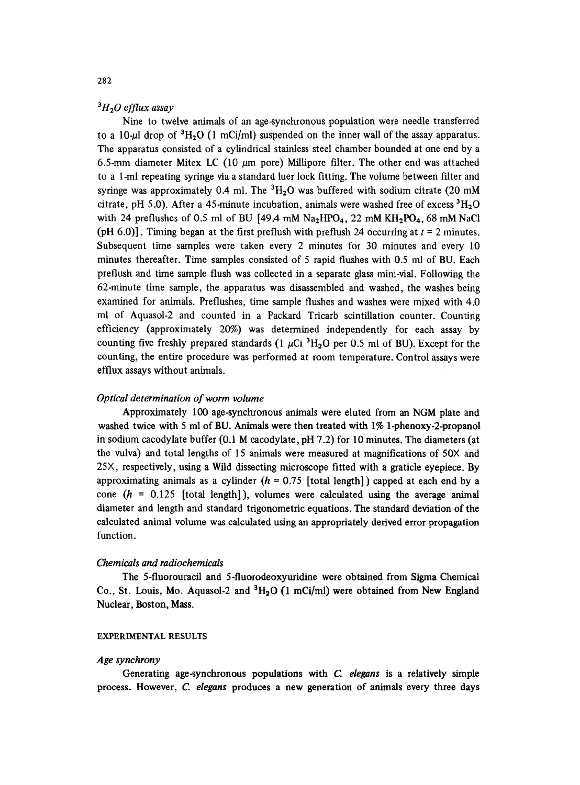# *31-120 efflux assay*

Nine to twelve animals of an age-synchronous population were needle transferred to a 10-µ drop of  ${}^{3}H_{2}O$  (1 mCi/ml) suspended on the inner wall of the assay apparatus. The apparatus consisted of a cylindrical stainless steel chamber bounded at one end by a 6.5-mm diameter Mitex LC (10  $\mu$ m pore) Millipore filter. The other end was attached to a 1-ml repeating syringe via a standard luer lock fitting. The volume between filter and syringe was approximately 0.4 ml. The  ${}^{3}H_{2}O$  was buffered with sodium citrate (20 mM citrate, pH 5.0). After a 45-minute incubation, animals were washed free of excess  ${}^{3}H_{2}O$ with 24 preflushes of 0.5 ml of BU [49.4 mM  $Na<sub>2</sub>HPO<sub>4</sub>$ , 22 mM  $KH<sub>2</sub>PO<sub>4</sub>$ , 68 mM NaCl (pH 6.0)]. Timing began at the first preflush with preflush 24 occurring at  $t = 2$  minutes. Subsequent time samples were taken every 2 minutes for 30 minutes and every 10 minutes thereafter. Time samples consisted of 5 rapid flushes with 0.5 ml of BU. Each preflush and time sample flush was collected in a separate glass mini-vial. Following the 62-minute time sample, the apparatus was disassembled and washed, the washes being examined for animals. Preflushes, time sample flushes and washes were mixed with 4.0 ml of Aquasol-2 and counted in a Packard Tricarb scintillation counter. Counting efficiency (approximately 20%) was determined independently for *each* assay by counting five freshly prepared standards (1  $\mu$ Ci <sup>3</sup>H<sub>2</sub>O per 0.5 ml of BU). Except for the counting, the entire procedure was performed at room temperature. Control assays were efflux assays without animals.

# *Optical determination of worm volume*

Approximately 100 age-synchronous animals were eluted from an NGM plate and washed twice with 5 ml of BU. Animals were then treated with 1% 1-phenoxy-2-propanol in sodium cacodylate buffer (0.1 M cacodylate, pH 7.2) for 10 minutes. The diameters (at the vulva) and total lengths of 15 animals were measured at magnifications of 50X and 25X, respectively, using a Wild dissecting microscope fitted with a graticle eyepiece. By approximating animals as a cylinder  $(h = 0.75$  [total length]) capped at each end by a cone  $(h = 0.125$  [total length]), volumes were calculated using the average animal diameter and length and standard trigonometric equations. The standard deviation of the calculated animal volume was calculated using an appropriately derived error propagation function.

## *Chemicals and radiochemicals*

The 5-fluorouracil and 5.fluorodeoxyuridine were obtained from Sigma Chemical Co., St. Louis, Mo. Aquasol-2 and  ${}^{3}H_{2}O$  (1 mCi/ml) were obtained from New England Nuclear, Boston, Mass.

### EXPERIMENTAL RESULTS

# *Age synchrony*

Generating age-synchronous populations with *C. elegans* is a relatively simple process. However, C. *elegans* produces a new generation of animals every three days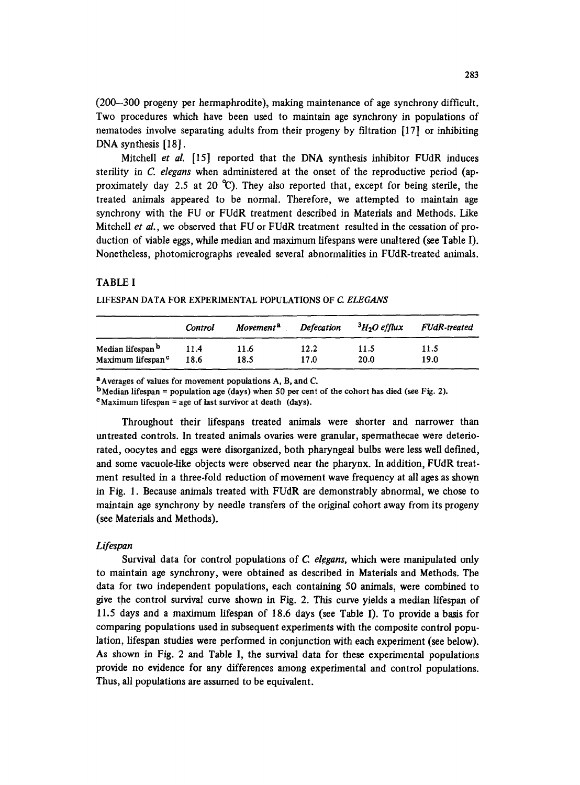(200-300 progeny per hermaphrodite), making maintenance of age synchrony difficult. Two procedures which have been used to maintain age synchrony in populations of nematodes involve separating adults from their progeny by filtration [17] or inhibiting DNA synthesis [18].

Mitchell *et al.* [15] reported that the DNA synthesis inhibitor FUdR induces sterility in *C. elegans* when administered at the onset of the reproductive period (approximately day 2.5 at 20  $^{\circ}$ C). They also reported that, except for being sterile, the treated animals appeared to be normal. Therefore, we attempted to maintain age synchrony with the FU or FUdR treatment described in Materials and Methods. Like Mitchell *et al.,* we observed that FU or FUdR treatment resulted in the cessation of pro. duction of viable eggs, while median and maximum lifespans were unaltered (see Table I). Nonetheless, photomicrographs revealed several abnormalities in FUdR-treated animals.

# TABLE I

#### LIFESPAN DATA FOR EXPERIMENTAL POPULATIONS OF C. ELEGANS

|                               | Control | Movement <sup>a</sup> | <b>Defecation</b> | $3H2O$ efflux | FUdR-treated |
|-------------------------------|---------|-----------------------|-------------------|---------------|--------------|
| Median lifespan <sup>b</sup>  | 11.4    | 11.6                  | 12.2              | 11.5          | 11.5         |
| Maximum lifespan <sup>c</sup> | 18.6    | 18.5                  | 17.0              | 20.0          | 19.0         |

aAverages of values for movement populations A, B, and C.

 $<sup>b</sup> Median lifespan = population age (days) when 50 per cent of the cohort has died (see Fig. 2).$ </sup>

 $\text{c}$ Maximum lifespan = age of last survivor at death (days).

Throughout their lifespans treated animals were shorter and narrower than untreated controls. In treated animals ovaries were granular, spermathecae were deteriorated, oocytes and eggs were disorganized, both pharyngeal bulbs were less well defined, and some vacuole-like objects were observed near the pharynx. In addition, *FUdR* treatment resulted in a three-fold reduction of movement wave frequency at all ages as shown in Fig. 1. Because animals treated with FUdR are demonstrably abnormal, we chose to maintain age synchrony by needle transfers of the original cohort away from its progeny (see Materials and Methods).

#### *Lifespan*

Survival data for control populations of *C. elegans*, which were manipulated only to maintain age synchrony, were obtained as described in Materials and Methods. The data for two independent populations, each containing 50 animals, were combined to give the control survival curve shown in Fig. 2. This curve yields a median lifespan of 11.5 days and a maximum lifespan of i8.6 days (see Table I). To provide a basis for comparing populations used in subsequent experiments with the composite control population, lifespan studies were performed in conjunction with each experiment (see below). As shown in Fig. 2 and Table I, the survival data for these experimental populations provide no evidence for any differences among experimental and control populations. Thus, all populations are assumed to be equivalent.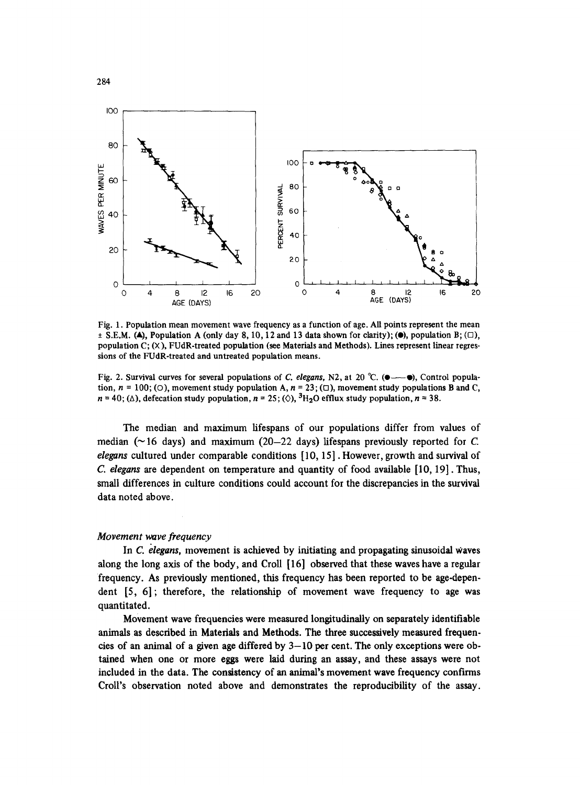

Fig. 1. Population mean movement wave frequency as a function of age. All points represent the mean  $\pm$  S.E.M. (A), Population A (only day 8, 10, 12 and 13 data shown for clarity); ( $\bullet$ ), population B; ( $\Box$ ), population  $C: (X)$ , FUdR-treated population (see Materials and Methods). Lines represent linear regressions of the FUdR-treated and untreated population means.

Fig. 2. Survival curves for several populations of *C. elegans*, N2, at 20 °C. ( $\bullet$ — $\bullet$ ), Control population,  $n = 100$ ; (O), movement study population A,  $n = 23$ ; ( $\Box$ ), movement study populations B and C,  $n = 40$ ; ( $\triangle$ ), defecation study population,  $n = 25$ ; ( $\Diamond$ ), <sup>3</sup>H<sub>2</sub>O efflux study population,  $n = 38$ .

The median and maximum lifespans of our populations differ from values of median ( $\sim$  16 days) and maximum (20-22 days) lifespans previously reported for C. *elegans* cultured under comparable conditions [10, 15]. However, growth and survival of *C elegans are* dependent on temperature and quantity of food available [10, 19]. Thus, small differences in culture conditions could account for the discrepancies in the survival data noted above.

# *Movement wave frequency*

In C. *elegans*, movement is achieved by initiating and propagating sinusoidal waves along the long axis of the body, and Croll [ 16] observed that these waves have a regular frequency. As previously mentioned, this frequency has been reported to be age-dependent [5, 6]; therefore, the relationship of movement wave frequency to age was quantitated.

Movement wave frequencies were measured longitudinally on separately identifiable animals as described in Materials and Methods. The three successively measured frequencies of an animal of a given age differed by  $3-10$  per cent. The only exceptions were obtained when one or more eggs were laid during an assay, and these assays were not included in the data. The consistency of an animal's movement wave frequency confirms Croll's observation noted above and demonstrates the reproducibility of the assay.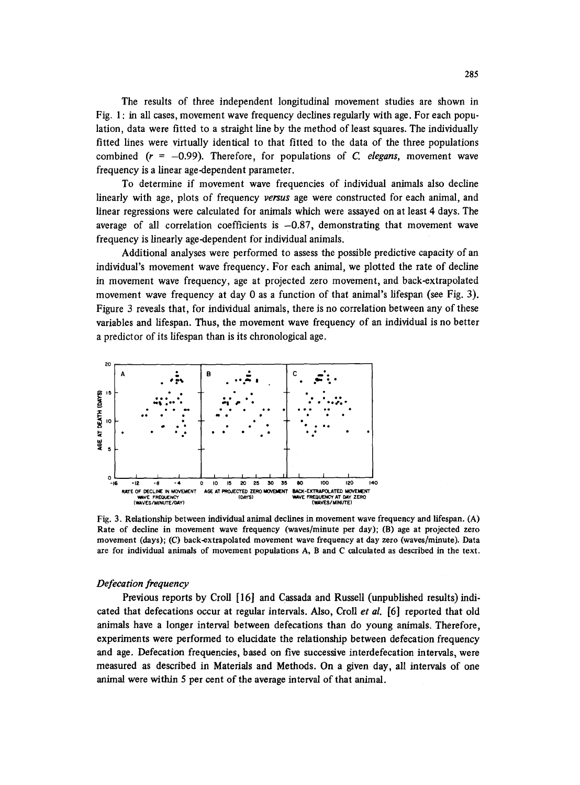The results of three independent longitudinal movement studies are shown in Fig. 1 : in all cases, movement wave frequency declines regularly with age. For each population, data were fitted to a straight line by the method of least squares. The individually fitted lines were virtually identical to that fitted to the data of the three populations combined  $(r = -0.99)$ . Therefore, for populations of *C. elegans*, movement wave frequency is a linear age-dependent parameter.

To determine if movement wave frequencies of individual animals also decline linearly with age, plots of frequency *versus* age were constructed for each animal, and linear regressions were calculated for animals which were assayed on at least 4 days. The average of all correlation coefficients is  $-0.87$ , demonstrating that movement wave frequency is linearly age-dependent for individual animals.

Additional analyses were performed to assess the possible predictive capacity of an individual's movement wave frequency. For each animal, we plotted the rate of decline in movement wave frequency, age at projected zero movement, and back-extrapolated movement wave frequency at day 0 as a function of that animal's lifespan (see Fig. 3). Figure 3 reveals that, for individual animals, there is no correlation between any of these variables and lifespan. Thus, the movement wave frequency of an individual is no better a predictor of its lifespan than is its chronological age.



Fig. 3. Relationship between individual animal declines in movement wave frequency and lifespan. (A) Rate of decline in movement wave frequency (waves/minute per day); (B) age at projected zero movement (days); (C) back-extrapolated movement wave frequency at day zero (waves/minute). Data are for individual animals of movement populations A, B and C calculated as described in the text.

### *Defecation frequency*

Previous reports by Croll [16] and Cassada and Russell (unpublished results) indicated that defecations occur at regular intervals. Also, Croll *et al.* [6] reported that old animals have a longer interval between defecations than do young animals. Therefore, experiments were performed to elucidate the relationship between defecation frequency and age. Defecation frequencies, based on five successive interdefecation intervals, were measured as described in Materials and Methods. On a given day, all intervals of one animal were within 5 per cent of the average interval of that animal.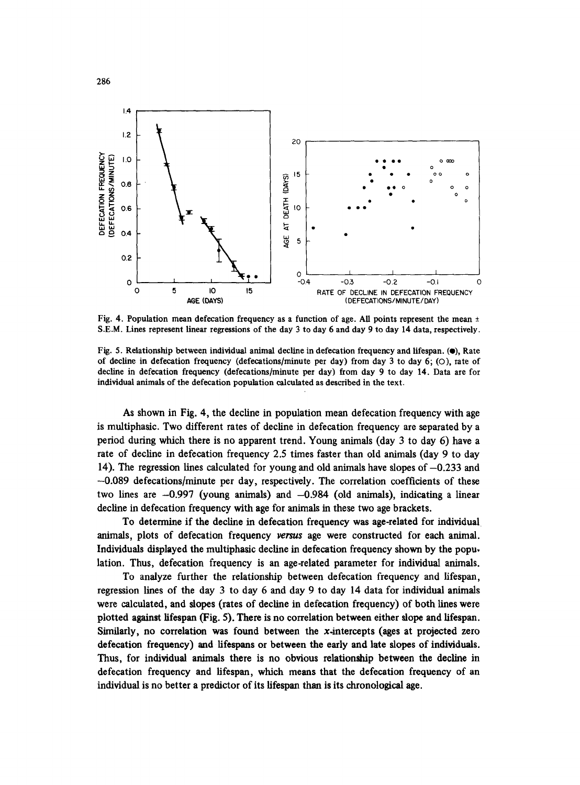

Fig. 4. Population mean defecation frequency as a function of age. All points represent the mean  $\pm$ S.E.M. Lines represent linear regressions of the day 3 to day 6 and day 9 to day 14 data, respectively.

Fig. 5. Relationship between individual animal decline in defecation frequency and lifespan. (.), Rate of decline in defecation frequency (defecations/minute per day) from day 3 to day 6; (O), rate of decline in defecation frequency (defecations/minute per day) from day 9 to day 14. Data are for individual animals of the defecation population calculated as described in the text.

As shown in Fig. 4, the decline in population mean defecation frequency with age is multiphasic. Two different rates of decline in defecation frequency are separated by a period during which there is no apparent trend. Young animals (day 3 to day 6) have a rate of decline in defecation frequency 2.5 times faster than old animals (day 9 to day 14). The regression lines calculated for young and old animals have slopes of  $-0.233$  and -0.089 defecations/minute per day, respectively. The correlation coefficients of these two lines are  $-0.997$  (young animals) and  $-0.984$  (old animals), indicating a linear decline in defecation frequency with age for animals in these two age brackets.

To determine if the decline in defecation frequency was age-related for individual animals, plots of defecation frequency versus age were constructed for each animal. Individuals displayed the multiphasic decline in defecation frequency shown by the popu, lation. Thus, defecation frequency is an age-related parameter for individual animals.

To analyze further the relationship between defecation frequency and lifespan, regression lines of the day 3 to day 6 and day 9 to day 14 data for individual animals were calculated, and slopes (rates of decline in defecation frequency) of both lines were plotted against lifespan (Fig. 5). There is no correlation between either slope and lifespan. Similarly, no correlation was found between the x-intercepts (ages at projected zero defecation frequency) and lifespans or between the early and late slopes of individuals. Thus, for individual animals there is no obvious relationship between the decline in defecation frequency and lifespan, which means that the defecation frequency of an individual is no better a predictor of its lifespan than is its chronological age.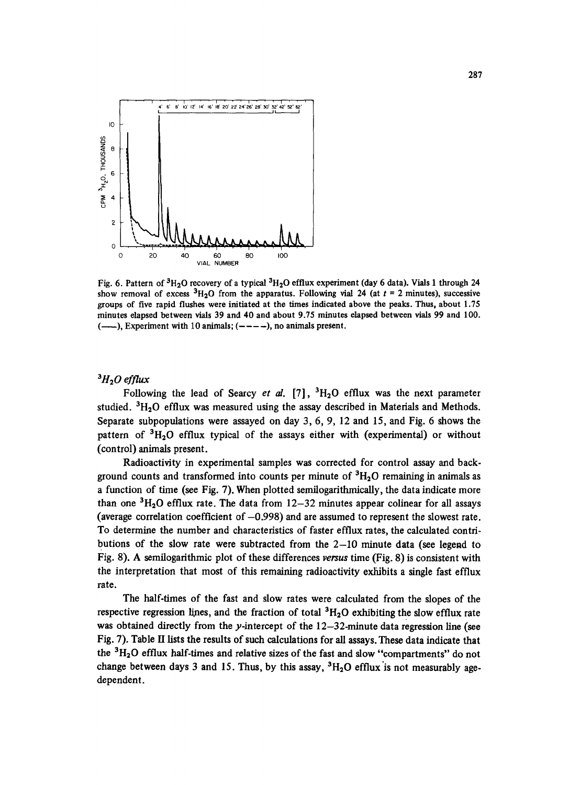

Fig. 6. Pattern of  $3H_2O$  recovery of a typical  $3H_2O$  efflux experiment (day 6 data). Vials 1 through 24 show removal of excess  ${}^{3}H_{2}O$  from the apparatus. Following vial 24 (at  $t = 2$  minutes), successive groups of five rapid flushes were initiated at the times indicated above the peaks. Thus, about 1.75 minutes elapsed between vials 39 and 40 and about 9.75 minutes elapsed between vials 99 and **100.**   $(-\rightarrow)$ , Experiment with 10 animals;  $(-\rightarrow)$ , no animals present.

# ${}^3H_2O$  efflux

Following the lead of Searcy *et al.* [7],  ${}^{3}H_{2}O$  efflux was the next parameter studied.  ${}^{3}H_{2}O$  efflux was measured using the assay described in Materials and Methods. Separate subpopulations were assayed on day 3, 6, 9, 12 and 15, and Fig. 6 shows the pattern of  ${}^{3}H_{2}O$  efflux typical of the assays either with (experimental) or without (control) animals present.

Radioactivity in experimental samples was corrected for control assay and background counts and transformed into counts per minute of  ${}^{3}H_{2}O$  remaining in animals as a function of time (see Fig. 7). When plotted semflogarithmically, the data indicate more than one  ${}^{3}H_{2}O$  efflux rate. The data from 12-32 minutes appear colinear for all assays (average correlation coefficient of  $-0.998$ ) and are assumed to represent the slowest rate. To determine the number and characteristics of faster efflux rates, the calculated contributions of the slow rate were subtracted from the 2-10 minute data (see legend to Fig. 8). A semflogarithmic plot of these differences *versus* time (Fig. 8) is consistent with the interpretation that most of this remaining radioactivity exhibits a single fast efflux rate.

The half-times of the fast and slow rates were calculated from the slopes of the respective regression lines, and the fraction of total  ${}^{3}H_{2}O$  exhibiting the slow efflux rate was obtained directly from the *y-intercept* of the 12-32-minute data regression line (see Fig. 7). Table H lists the results of such calculations for all assays. These data indicate that the  ${}^{3}H_{2}O$  efflux half-times and relative sizes of the fast and slow "compartments" do not change between days 3 and 15. Thus, by this assay,  ${}^{3}H_{2}O$  efflux is not measurably age*dependent.*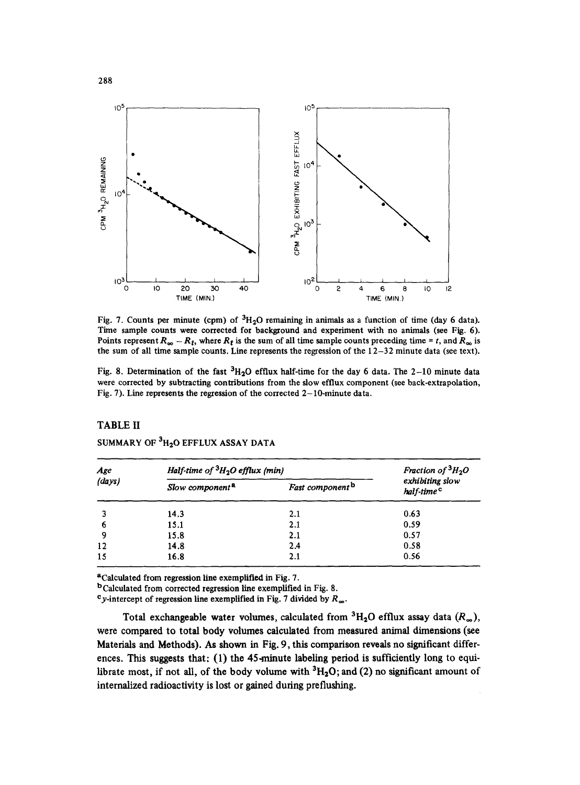![](_page_9_Figure_0.jpeg)

Fig. 7. Counts per minute (cpm) of  ${}^{3}H_{2}O$  remaining in animals as a function of time (day 6 data). Time sample counts were corrected for background and experiment with no animals (see Fig. 6). Points represent  $R_{\infty} - R_t$ , where  $R_t$  is the sum of all time sample counts preceding time = t, and  $R_{\infty}$  is the sum of all time sample counts. Line represents the regression of the  $12-32$  minute data (see text).

Fig. 8. Determination of the fast  ${}^{3}H_{2}O$  efflux half-time for the day 6 data. The 2-10 minute data were corrected by subtracting contributions from the slow efflux component (see back-extrapolation, Fig. 7). Line represents the regression of the corrected  $2-10$ -minute data.

# TABLE **II**

| Age<br>(days) | Half-time of ${}^{3}H_{2}O$ efflux (min) | Fraction of ${}^{3}H_{2}O$  |                                           |
|---------------|------------------------------------------|-----------------------------|-------------------------------------------|
|               | Slow component <sup>a</sup>              | Fast component <sup>b</sup> | exhibiting slow<br>half-time <sup>c</sup> |
| 3             | 14.3                                     | 2.1                         | 0.63                                      |
| 6             | 15.1                                     | 2.1                         | 0.59                                      |
| 9             | 15.8                                     | 2.1                         | 0.57                                      |
| 12            | 14.8                                     | 2.4                         | 0.58                                      |
| 15            | 16.8                                     | 2.1                         | 0.56                                      |

SUMMARY OF  ${}^{3}H_{2}O$  EFFLUX ASSAY DATA

aCalculated from regression line exemplified in Fig. 7.

bCaleulated from corrected regression line exemplified in Fig. 8.

<sup>c</sup>y-intercept of regression line exemplified in Fig. 7 divided by  $R_{\infty}$ .

Total exchangeable water volumes, calculated from  ${}^{3}H_{2}O$  efflux assay data  $(R_{\infty})$ , **were compared to total body volumes calculated from measured animal dimensions (see Materials and Methods). As shown in Fig. 9, this comparison reveals no significant differences. This suggests that: (1) the 45-minute labeling period is sufficiently long to equi**librate most, if not all, of the body volume with <sup>3</sup>H<sub>2</sub>O; and (2) no significant amount of **internalized radioactivity is lost or gained during preflushing.**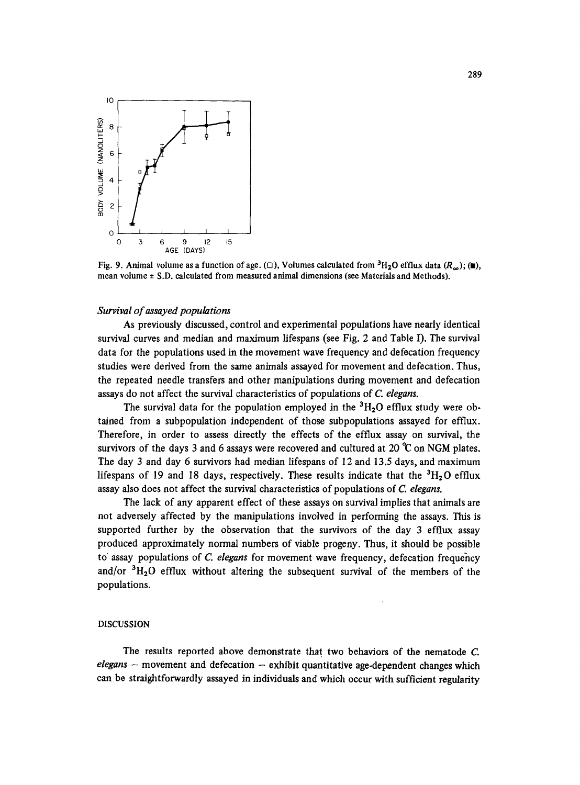![](_page_10_Figure_0.jpeg)

Fig. 9. Animal volume as a function of age. ( $\Box$ ), Volumes calculated from  ${}^{3}H_{2}O$  efflux data  $(R_{\infty})$ ; ( $\Box$ ), mean volume  $\pm$  S.D. calculated from measured animal dimensions (see Materials and Methods).

### *Survival of assayed populations*

As previously discussed, control and experimental populations have nearly identical survival curves and median and maximum lifespans (see Fig. 2 and Table I). The survival data for the populations used in the movement wave frequency and defecation frequency studies were derived from the same animals assayed for movement and defecation. Thus, the repeated needle transfers and other manipulations during movement and defecation assays do not affect the survival characteristics of populations of *C. elegans.* 

The survival data for the population employed in the  ${}^{3}H_{2}O$  efflux study were obtained from a subpopulation independent of those subpopulations assayed for efflux. Therefore, in order to assess directly the effects of the efflux assay on survival, the survivors of the days 3 and 6 assays were recovered and cultured at 20  $\degree$ C on NGM plates. *The* day 3 and day 6 survivors had median lifespans of 12 and 13.5 days, and maximum lifespans of 19 and 18 days, respectively. These results indicate that the  ${}^{3}H_{2}O$  efflux assay also does not affect the survival characteristics of populations of *C. elegans.* 

The lack of any apparent effect of these assays on survival implies that animals are not adversely affected by the manipulations involved in performing the assays. This is supported further by the observation that the survivors of the day 3 efflux assay produced approximately normal numbers of viable progeny. Thus, it should be possible to assay populations of *C. elegans* for movement wave frequency, defecation frequency and/or  ${}^{3}H_{2}O$  efflux without altering the subsequent survival of the members of the populations.

#### DISCUSSION

The results reported above demonstrate that two behaviors of the nematode C. *elegans* – movement and defecation – exhibit quantitative age-dependent changes which can be straightforwardly assayed in individuals and which occur with sufficient regularity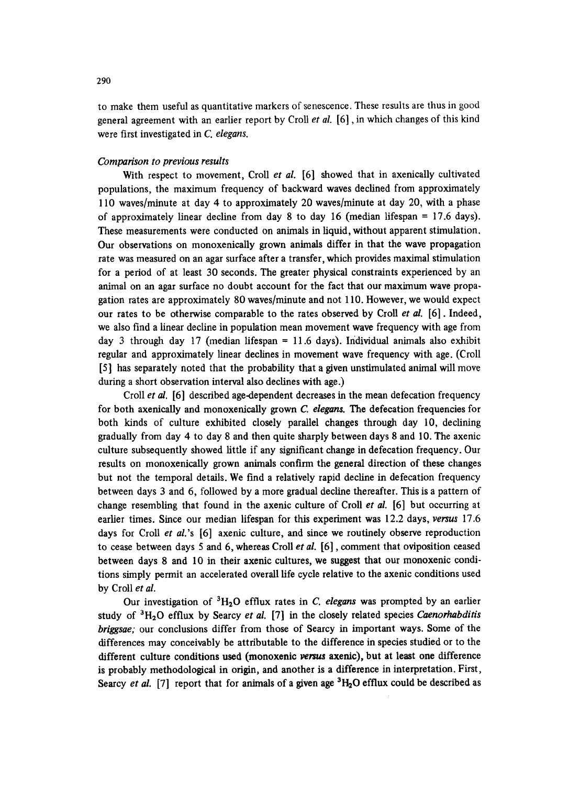to make them useful as quantitative markers of senescence. These results are thus in good general agreement with an earlier report by Croll *et al.* [6], in which changes of this kind were first investigated in *C. elegans.* 

### *Comparison to previous results*

With respect to movement, Croll *et al.* [6] showed that in axenically cultivated populations, the maximum frequency of backward waves declined from approximately 110 waves/minute at day 4 to approximately 20 waves/minute at day 20, with a phase of approximately linear decline from day 8 to day 16 (median lifespan  $= 17.6$  days). These measurements were conducted on animals in liquid, without apparent stimulation. Our observations on monoxenically grown animals differ in that the wave propagation rate was measured on an agar surface after a transfer, which provides maximal stimulation for a period of at least 30 seconds. The greater physical constraints experienced by an animal on an agar surface no doubt account for the fact that our maximum wave propagation rates are approximately 80 waves/minute and not 110. However, we would expect our rates to be otherwise comparable to the rates observed by Croll *et al.* [6]. Indeed, we also find a linear decline in population mean movement wave frequency with age from day 3 through day 17 (median lifespan = 11.6 days). Individual animals also exhibit regular and approximately linear declines in movement wave frequency with age. (Croll [5] has separately noted that the probability that a given unstimulated animal will move during a short observation interval also declines with age.)

Croll *et al.* [6] described age-dependent decreases in the mean defecation frequency for both axenically and monoxenically grown *C. elegans. The* defecation frequencies for both kinds of culture exhibited closely parallel changes through day 10, declining gradually from day 4 to day 8 and then quite sharply between days 8 and 10. The axenic culture subsequently showed little if any significant change in defecation frequency. Our results on monoxenically grown animals confirm the general direction of these changes but not the temporal details. We find a relatively rapid decline in defecation frequency between days 3 and 6, followed by a more gradual decline thereafter. This is a pattern of change resembling that found in the axenic culture of Croll *et al.* [6] but occurring at earlier times. Since our median lifespan for this experiment was 12.2 days, *versus* 17.6 days for Croll *et al.'s* [6] axenic culture, and since we routinely observe reproduction to cease between days 5 and 6, whereas Croll *et al.* [6], comment that oviposition ceased between days 8 and 10 in their axenic cultures, we suggest that our monoxenic conditions simply permit an accelerated overall life cycle relative to the axenic conditions used by Croll *et al.* 

Our investigation of 3H20 efflux rates in *C. elegans* was prompted by an earlier study of 3H20 efflux by Searcy *et al.* [7] in the closely related species *Caenorhabditis briggsae;* our conclusions differ from those of Searcy in important ways. Some of the differences may conceivably be attributable to the difference in species studied or to the different culture conditions used (monoxenic versus axenic), but at least one difference is probably methodological in origin, and another is a difference in interpretation. First, Searcy *et al.* [7] report that for animals of a given age <sup>3</sup>H<sub>2</sub>O efflux could be described as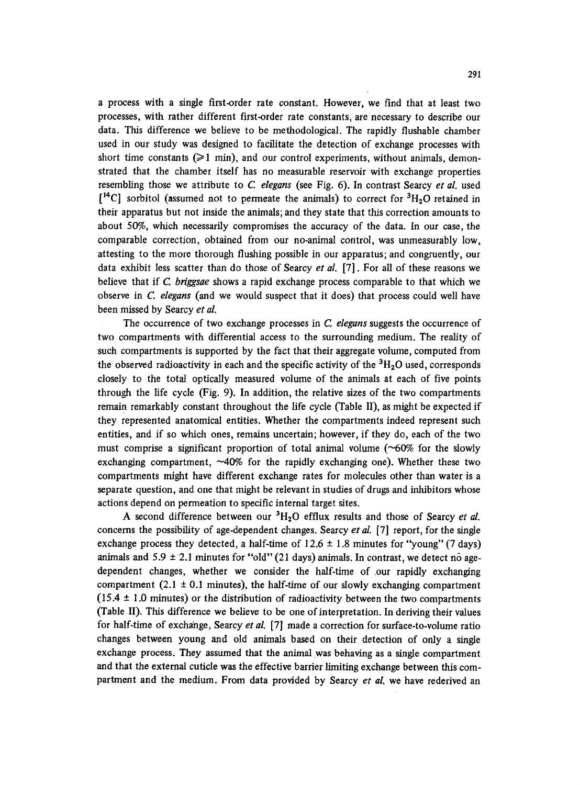a process with a single first-order rate constant. However, we find that at least two processes, with rather different first-order rate constants, are necessary to describe our data. This difference we believe to be methodological. The rapidly flushable chamber used in our study was designed to facilitate the detection of exchange processes with short time constants  $(>= 1 \text{ min})$ , and our control experiments, without animals, demonstrated that the chamber itself has no measurable reservoir with exchange properties resembling those we attribute to C. *elegans* (see Fig. 6). In contrast Searcy *et al.* used  $[$ <sup>14</sup>C] sorbitol (assumed not to permeate the animals) to correct for <sup>3</sup>H<sub>2</sub>O retained in their apparatus but not inside the animals; and they state that this correction amounts to about 50%, which necessarily compromises the accuracy of the data. In our case, the comparable correction, obtained from our no-animal control, was unmeasurably low, attesting to the more thorough flushing possible in our apparatus; and congruently, our data exhibit less scatter than do those of Searcy *et al.* [7]. For all of these reasons we believe that if C *briggsae* shows a rapid exchange process comparable to that which we observe in *C. elegans* (and we would suspect that it does) that process could well have been missed by Searcy *et al.* 

The occurrence of two exchange processes in C. *elegans* suggests the occurrence of two compartments with differential access to the surrounding medium. The reality of such compartments is supported by the fact that their aggregate volume, computed from the observed radioactivity in each and the specific activity of the  ${}^{3}H_{2}O$  used, corresponds closely to the total optically measured volume of the animals at each of five points through the life cycle (Fig. 9). In addition, the relative sizes of the two compartments remain remarkably constant throughout the life cycle (Table II), as might be expected if they represented anatomical entities. Whether the compartments indeed represent such entities, and if so which ones, remains uncertain; however, if they do, each of the two must comprise a significant proportion of total animal volume  $(\sim 60\%$  for the slowly exchanging compartment, ~40% for the rapidly exchanging one). Whether these two compartments might have different exchange rates for molecules other than water is a separate question, and one that might be relevant in studies of drugs and inhibitors whose actions depend on permeation to specific internal target sites.

A second difference between our  ${}^{3}H_{2}O$  efflux results and those of Searcy *et al.* concerns the possibility of age-dependent changes. Searcy *et al.* [7] report, for the single exchange process they detected, a half-time of  $12.6 \pm 1.8$  minutes for "young" (7 days) animals and  $5.9 \pm 2.1$  minutes for "old" (21 days) animals. In contrast, we detect no agedependent changes, whether we consider the half-time of our rapidly exchanging compartment  $(2.1 \pm 0.1 \text{ minutes})$ , the half-time of our slowly exchanging compartment (15.4  $\pm$  1.0 minutes) or the distribution of radioactivity between the two compartments (Table II). This difference we believe to be one of interpretation. In deriving their values for half-time of exchange, Searcy *et al.* [7] made a correction for surface-to-volume ratio changes between young and old animals based on their detection of only a single exchange process. They assumed that the animal was behaving as a single compartment and that the external cuticle was the effective barrier limiting exchange between this compartment and the medium. From data provided by Searcy *et al.* we have rederived an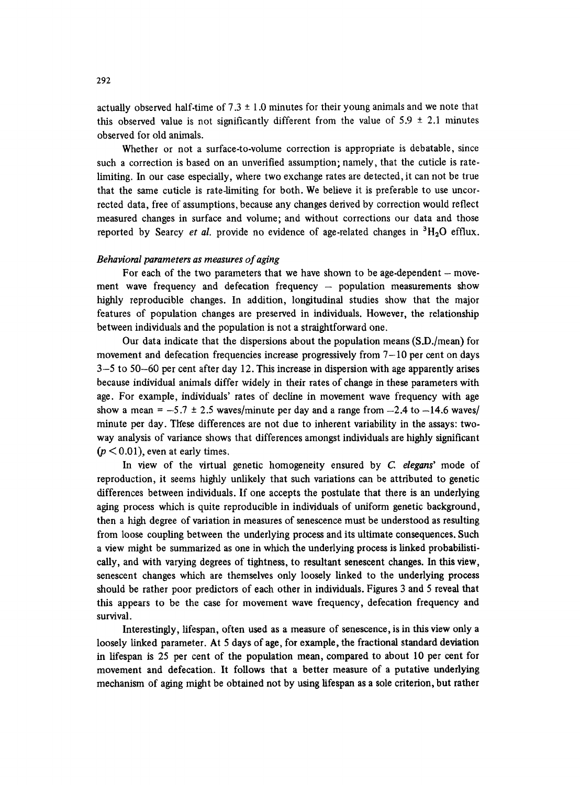actually observed half-time of  $7.3 \pm 1.0$  minutes for their young animals and we note that this observed value is not significantly different from the value of  $5.9 \pm 2.1$  minutes observed for old animals.

Whether or not a surface-to-volume correction is appropriate is debatable, since such a correction is based on an unverified assumption; namely, that the cuticle is ratelimiting. In our case especially, where two exchange rates are detected, it can not be true that the same cuticle is rate-limiting for both. We believe it is preferable to use uncorrected data, free of assumptions, because any changes derived by correction would reflect measured changes in surface and volume; and without corrections our data and those reported by Searcy *et al.* provide no evidence of age-related changes in  ${}^{3}H_{2}O$  efflux.

# *Behavioral parameters as measures of aging*

For each of the two parameters that we have shown to be age-dependent  $-$  movement wave frequency and defecation frequency  $-$  population measurements show highly reproducible changes. In addition, longitudinal studies show that the major features of population changes are preserved in individuals. However, the relationship between individuals and the population is not a straightforward one.

Our data indicate that the dispersions about the population means (S.D./mean) for movement and defecation frequencies increase progressively from  $7-10$  per cent on days 3-5 to 50-60 per cent after day 12. This increase in dispersion with age apparently arises because individual animals differ widely in their rates of change in these parameters with age. For example, individuals' rates of decline in movement wave frequency with age show a mean =  $-5.7 \pm 2.5$  waves/minute per day and a range from  $-2.4$  to  $-14.6$  waves/ minute per day. These differences are not due to inherent variability in the assays: twoway analysis of variance shows that differences amongst individuals are highly significant  $(p < 0.01)$ , even at early times.

In view of the virtual genetic homogeneity ensured by *C elegans'* mode of reproduction, it seems highly unlikely that such variations can be attributed to genetic differences between individuals. If one accepts the postulate that there is an underlying aging process which is quite reproducible in individuals of uniform genetic background, then a high degree of variation in measures of senescence must be understood as resulting from loose coupling between the underlying process and its ultimate consequences. Such a view might be summarized as one in which the underlying process is linked probabilistically, and with varying degrees of tightness, to resultant senescent changes. In this view, senescent changes which are themselves only loosely linked to the underlying process should be rather poor predictors of each other in individuals. Figures 3 and 5 reveal that this appears to be the case for movement wave frequency, defecation frequency and survival.

Interestingly, lifespan, often used as a measure of senescence, is in this view only a loosely linked parameter. At 5 days of age, for example, the fractional standard deviation in lifespan is 25 per cent of the population mean, compared to about 10 per cent for movement and defecation. It follows that a better measure of a putative underlying mechanism of aging might be obtained not by using lifespan as a sole criterion, but rather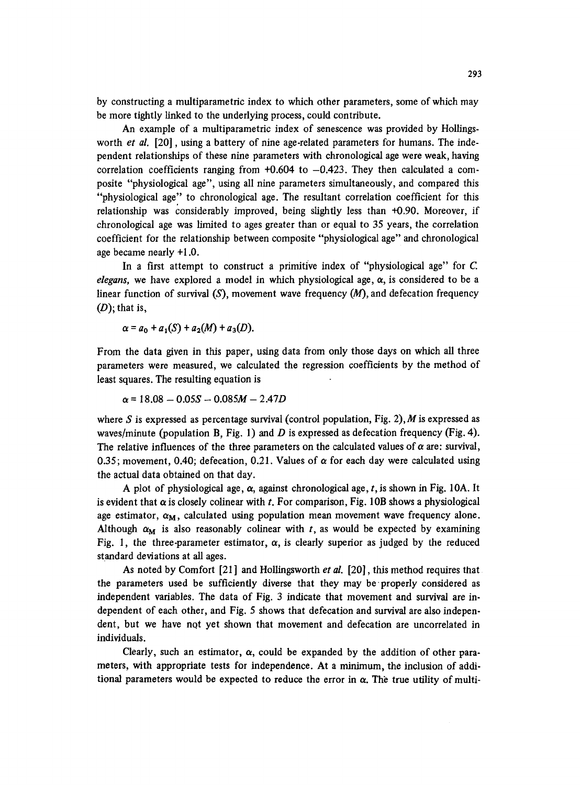by constructing a multiparametric index to which other parameters, some of which may be more tightly linked to the underlying process, could contribute.

An example of a multiparametric index of senescence was provided by Hollingsworth *et al.* [20], using a battery of nine age-related parameters for humans. The independent relationships of these nine parameters with chronological age were weak, having correlation coefficients ranging from  $+0.604$  to  $-0.423$ . They then calculated a composite "physiological age", using all nine parameters simultaneously, and compared this "physiological age" to chronological age. The resultant correlation coefficient for this relationship was considerably improved, being slightly less than 40.90. Moreover, if chronological age was limited to ages greater than or equal to 35 years, the correlation coefficient for the relationship between composite "physiological age" and chronological age became nearly +1.0.

In a first attempt to construct a primitive index of "physiological age" for C. *elegans,* we have explored a model in which physiological age,  $\alpha$ , is considered to be a linear function of survival  $(S)$ , movement wave frequency  $(M)$ , and defecation frequency  $(D)$ ; that is,

$$
\alpha = a_0 + a_1(S) + a_2(M) + a_3(D).
$$

From the data given in this paper, using data from only those days on which all three parameters were measured, we calculated the regression coefficients by the method of least squares. The resulting equation is

$$
\alpha = 18.08 - 0.05S - 0.085M - 2.47D
$$

where S is expressed as percentage survival (control population, Fig. 2), M is expressed as waves/minute (population B, Fig. 1) and D is expressed as defecation frequency (Fig. 4). The relative influences of the three parameters on the calculated values of  $\alpha$  are: survival, 0.35; movement, 0.40; defecation, 0.21. Values of  $\alpha$  for each day were calculated using the actual data obtained on that day.

A plot of physiological age,  $\alpha$ , against chronological age, t, is shown in Fig. 10A. It is evident that  $\alpha$  is closely colinear with t. For comparison, Fig. 10B shows a physiological age estimator,  $\alpha_M$ , calculated using population mean movement wave frequency alone. Although  $\alpha_M$  is also reasonably colinear with t, as would be expected by examining Fig. 1, the three-parameter estimator,  $\alpha$ , is clearly superior as judged by the reduced standard deviations at all ages.

As noted by Comfort [21] and Hollingsworth *et al.* [20], this method requires that the parameters used be sufficiently diverse that they may be'properly considered as independent variables. The data of Fig. 3 indicate that movement and survival are independent of each other, and Fig. 5 shows that defecation and survival are also independent, but we have not yet shown that movement and defecation are uncorrelated in individuals.

Clearly, such an estimator,  $\alpha$ , could be expanded by the addition of other parameters, with appropriate tests for independence. At a minimum, the inclusion of additional parameters would be expected to reduce the error in  $\alpha$ . The true utility of multi-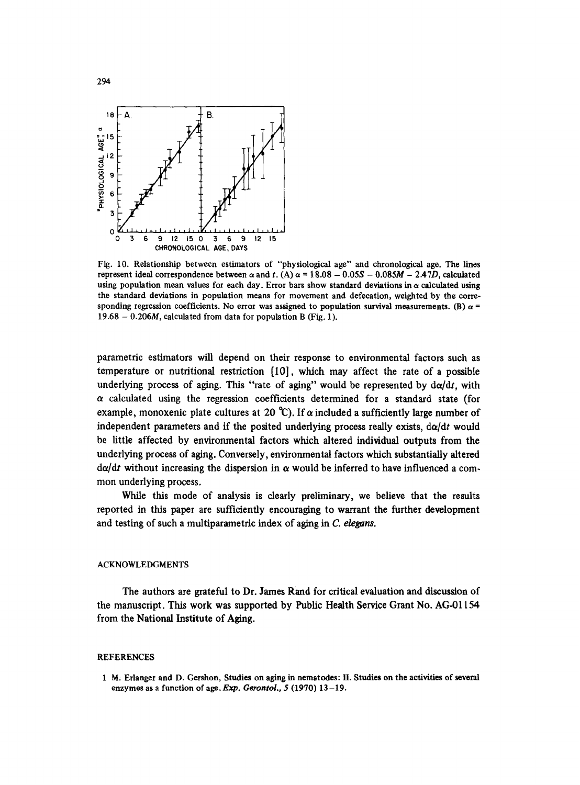![](_page_15_Figure_0.jpeg)

Fig. 10. Relationship between estimators of "physiological age" and chronological age. The lines represent ideal correspondence between  $\alpha$  and t. (A)  $\alpha$  = 18.08 - 0.05S - 0.085M - 2.47D, calculated using population mean values for each day. Error bars show standard deviations in  $\alpha$  calculated using the standard deviations in population means for movement and defecation, weighted by the corresponding regression coefficients. No error was assigned to population survival measurements. (B)  $\alpha$  =  $19.68 - 0.206M$ , calculated from data for population B (Fig. 1).

parametric estimators will depend on their response to environmental factors such as temperature or nutritional restriction [I0], which may affect the rate of a possible underlying process of aging. This "rate of aging" would be represented by  $d\alpha/dt$ , with  $\alpha$  calculated using the regression coefficients determined for a standard state (for example, monoxenic plate cultures at 20 °C). If  $\alpha$  included a sufficiently large number of independent parameters and if the posited underlying process really exists,  $d\alpha/dt$  would be little affected by environmental factors which altered individual outputs from the underlying process of aging. Conversely, environmental factors which substantially altered  $d\alpha/dt$  without increasing the dispersion in  $\alpha$  would be inferred to have influenced a commen underlying process.

While this mode of analysis is clearly preliminary, we believe that the results reported in this paper are sufficiently encouraging to warrant the further development and testing of such a multiparametric index of aging in *C. elegans.* 

#### ACKNOWLEDGMENTS

The authors are grateful to Dr. James Rand for critical evaluation and discussion of the manuscript. This work was supported by Public Health Service Grant No. AG-01154 from the National Institute of Aging.

#### REFERENCES

1 M. Erlanger and D. Gershon, Studies on aging in nematodes: H. Studies on the activities of several enzymes as a function of age. Exp. *Gerontol., 5* (1970) 13-19.